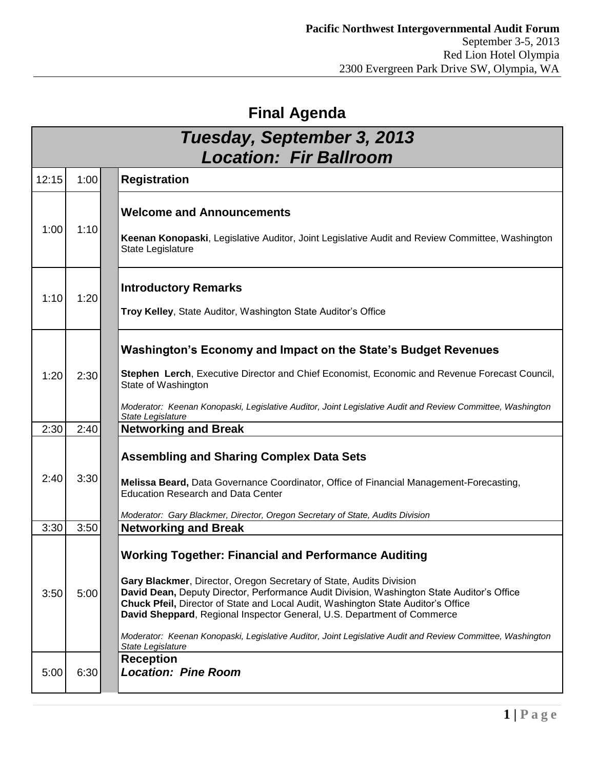## **Final Agenda**

| Tuesday, September 3, 2013<br><b>Location: Fir Ballroom</b> |      |                                                                                                                                                                                                                                                                                                                                                                                                                                                                                                                                     |
|-------------------------------------------------------------|------|-------------------------------------------------------------------------------------------------------------------------------------------------------------------------------------------------------------------------------------------------------------------------------------------------------------------------------------------------------------------------------------------------------------------------------------------------------------------------------------------------------------------------------------|
| 12:15                                                       | 1:00 | <b>Registration</b>                                                                                                                                                                                                                                                                                                                                                                                                                                                                                                                 |
| 1:00                                                        | 1:10 | <b>Welcome and Announcements</b><br>Keenan Konopaski, Legislative Auditor, Joint Legislative Audit and Review Committee, Washington<br>State Legislature                                                                                                                                                                                                                                                                                                                                                                            |
| 1:10                                                        | 1:20 | <b>Introductory Remarks</b><br>Troy Kelley, State Auditor, Washington State Auditor's Office                                                                                                                                                                                                                                                                                                                                                                                                                                        |
| 1:20                                                        | 2:30 | Washington's Economy and Impact on the State's Budget Revenues<br>Stephen Lerch, Executive Director and Chief Economist, Economic and Revenue Forecast Council,<br>State of Washington<br>Moderator: Keenan Konopaski, Legislative Auditor, Joint Legislative Audit and Review Committee, Washington<br>State Legislature                                                                                                                                                                                                           |
| 2:30                                                        | 2:40 | <b>Networking and Break</b>                                                                                                                                                                                                                                                                                                                                                                                                                                                                                                         |
| 2:40                                                        | 3:30 | <b>Assembling and Sharing Complex Data Sets</b><br>Melissa Beard, Data Governance Coordinator, Office of Financial Management-Forecasting,<br><b>Education Research and Data Center</b><br>Moderator: Gary Blackmer, Director, Oregon Secretary of State, Audits Division                                                                                                                                                                                                                                                           |
| 3:30                                                        | 3:50 | <b>Networking and Break</b>                                                                                                                                                                                                                                                                                                                                                                                                                                                                                                         |
| 3:50                                                        | 5:00 | <b>Working Together: Financial and Performance Auditing</b><br>Gary Blackmer, Director, Oregon Secretary of State, Audits Division<br>David Dean, Deputy Director, Performance Audit Division, Washington State Auditor's Office<br>Chuck Pfeil, Director of State and Local Audit, Washington State Auditor's Office<br>David Sheppard, Regional Inspector General, U.S. Department of Commerce<br>Moderator: Keenan Konopaski, Legislative Auditor, Joint Legislative Audit and Review Committee, Washington<br>State Legislature |
| 5:00                                                        | 6:30 | <b>Reception</b><br><b>Location: Pine Room</b>                                                                                                                                                                                                                                                                                                                                                                                                                                                                                      |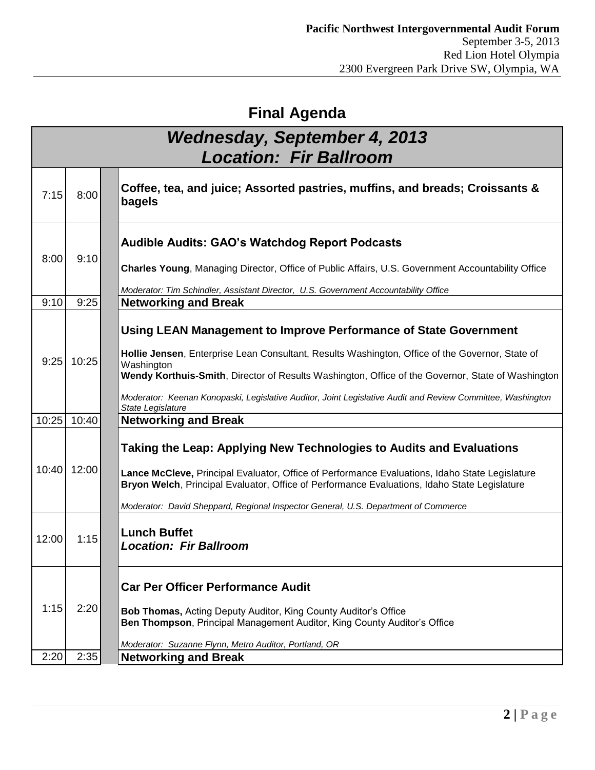## **Final Agenda**

| <b>Wednesday, September 4, 2013</b><br><b>Location: Fir Ballroom</b> |       |                                                                                                                                                                                                                                                                                                                                                                                                                           |  |  |
|----------------------------------------------------------------------|-------|---------------------------------------------------------------------------------------------------------------------------------------------------------------------------------------------------------------------------------------------------------------------------------------------------------------------------------------------------------------------------------------------------------------------------|--|--|
| 7:15                                                                 | 8:00  | Coffee, tea, and juice; Assorted pastries, muffins, and breads; Croissants &<br>bagels                                                                                                                                                                                                                                                                                                                                    |  |  |
| 8:00                                                                 | 9:10  | <b>Audible Audits: GAO's Watchdog Report Podcasts</b><br>Charles Young, Managing Director, Office of Public Affairs, U.S. Government Accountability Office<br>Moderator: Tim Schindler, Assistant Director, U.S. Government Accountability Office                                                                                                                                                                         |  |  |
| 9:10                                                                 | 9:25  | <b>Networking and Break</b>                                                                                                                                                                                                                                                                                                                                                                                               |  |  |
| 9:25                                                                 | 10:25 | Using LEAN Management to Improve Performance of State Government<br>Hollie Jensen, Enterprise Lean Consultant, Results Washington, Office of the Governor, State of<br>Washington<br>Wendy Korthuis-Smith, Director of Results Washington, Office of the Governor, State of Washington<br>Moderator: Keenan Konopaski, Legislative Auditor, Joint Legislative Audit and Review Committee, Washington<br>State Legislature |  |  |
| 10:25                                                                | 10:40 | <b>Networking and Break</b>                                                                                                                                                                                                                                                                                                                                                                                               |  |  |
| 10:40                                                                | 12:00 | Taking the Leap: Applying New Technologies to Audits and Evaluations<br>Lance McCleve, Principal Evaluator, Office of Performance Evaluations, Idaho State Legislature<br>Bryon Welch, Principal Evaluator, Office of Performance Evaluations, Idaho State Legislature<br>Moderator: David Sheppard, Regional Inspector General, U.S. Department of Commerce                                                              |  |  |
| 12:00                                                                | 1:15  | <b>Lunch Buffet</b><br><b>Location: Fir Ballroom</b>                                                                                                                                                                                                                                                                                                                                                                      |  |  |
| 1:15                                                                 | 2:20  | <b>Car Per Officer Performance Audit</b><br>Bob Thomas, Acting Deputy Auditor, King County Auditor's Office<br>Ben Thompson, Principal Management Auditor, King County Auditor's Office<br>Moderator: Suzanne Flynn, Metro Auditor, Portland, OR                                                                                                                                                                          |  |  |
| 2:20                                                                 | 2:35  | <b>Networking and Break</b>                                                                                                                                                                                                                                                                                                                                                                                               |  |  |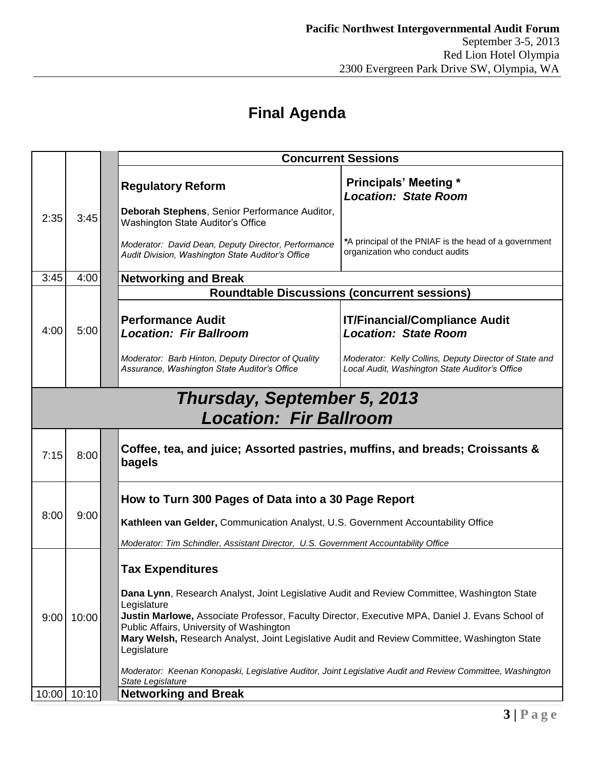## **Final Agenda**

|       |       | <b>Concurrent Sessions</b>                                                                                                                                                                                                               |  |  |  |
|-------|-------|------------------------------------------------------------------------------------------------------------------------------------------------------------------------------------------------------------------------------------------|--|--|--|
|       |       | <b>Principals' Meeting *</b><br><b>Regulatory Reform</b><br><b>Location: State Room</b>                                                                                                                                                  |  |  |  |
| 2:35  | 3:45  | Deborah Stephens, Senior Performance Auditor,<br>Washington State Auditor's Office                                                                                                                                                       |  |  |  |
|       |       | *A principal of the PNIAF is the head of a government<br>Moderator: David Dean, Deputy Director, Performance<br>organization who conduct audits<br>Audit Division, Washington State Auditor's Office                                     |  |  |  |
| 3:45  | 4:00  | <b>Networking and Break</b>                                                                                                                                                                                                              |  |  |  |
|       |       | <b>Roundtable Discussions (concurrent sessions)</b>                                                                                                                                                                                      |  |  |  |
| 4:00  | 5:00  | <b>Performance Audit</b><br><b>IT/Financial/Compliance Audit</b><br><b>Location: State Room</b><br><b>Location: Fir Ballroom</b>                                                                                                         |  |  |  |
|       |       | Moderator: Barb Hinton, Deputy Director of Quality<br>Moderator: Kelly Collins, Deputy Director of State and<br>Assurance, Washington State Auditor's Office<br>Local Audit, Washington State Auditor's Office                           |  |  |  |
|       |       | Thursday, September 5, 2013                                                                                                                                                                                                              |  |  |  |
|       |       | <b>Location: Fir Ballroom</b>                                                                                                                                                                                                            |  |  |  |
| 7:15  | 8:00  | Coffee, tea, and juice; Assorted pastries, muffins, and breads; Croissants &<br>bagels                                                                                                                                                   |  |  |  |
| 8:00  | 9:00  | How to Turn 300 Pages of Data into a 30 Page Report                                                                                                                                                                                      |  |  |  |
|       |       | Kathleen van Gelder, Communication Analyst, U.S. Government Accountability Office                                                                                                                                                        |  |  |  |
|       |       | Moderator: Tim Schindler, Assistant Director, U.S. Government Accountability Office                                                                                                                                                      |  |  |  |
| 9:00  | 10:00 | <b>Tax Expenditures</b><br>Dana Lynn, Research Analyst, Joint Legislative Audit and Review Committee, Washington State<br>Legislature<br>Justin Marlowe, Associate Professor, Faculty Director, Executive MPA, Daniel J. Evans School of |  |  |  |
|       |       | Public Affairs, University of Washington<br>Mary Welsh, Research Analyst, Joint Legislative Audit and Review Committee, Washington State<br>Legislature                                                                                  |  |  |  |
|       |       | Moderator: Keenan Konopaski, Legislative Auditor, Joint Legislative Audit and Review Committee, Washington<br>State Legislature                                                                                                          |  |  |  |
| 10:00 | 10:10 | <b>Networking and Break</b>                                                                                                                                                                                                              |  |  |  |